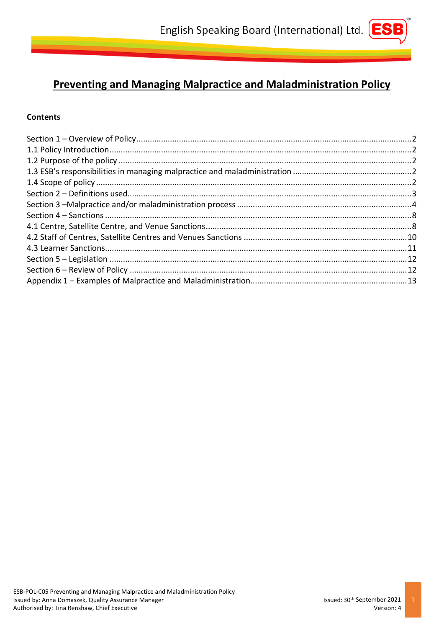# **Preventing and Managing Malpractice and Maladministration Policy**

# **Contents**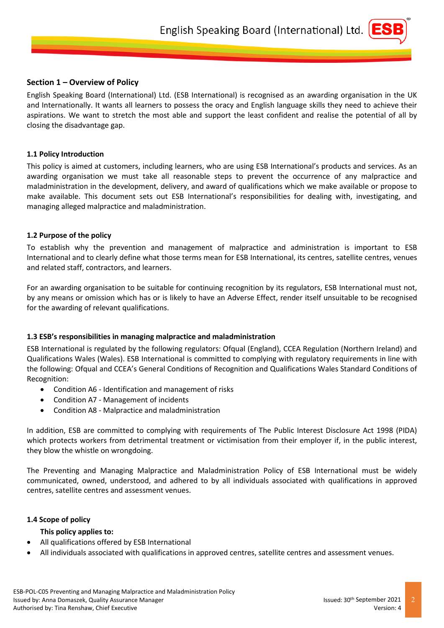## <span id="page-1-0"></span>**Section 1 – Overview of Policy**

English Speaking Board (International) Ltd. (ESB International) is recognised as an awarding organisation in the UK and Internationally. It wants all learners to possess the oracy and English language skills they need to achieve their aspirations. We want to stretch the most able and support the least confident and realise the potential of all by closing the disadvantage gap.

#### <span id="page-1-1"></span>**1.1 Policy Introduction**

This policy is aimed at customers, including learners, who are using ESB International's products and services. As an awarding organisation we must take all reasonable steps to prevent the occurrence of any malpractice and maladministration in the development, delivery, and award of qualifications which we make available or propose to make available. This document sets out ESB International's responsibilities for dealing with, investigating, and managing alleged malpractice and maladministration.

#### <span id="page-1-2"></span>**1.2 Purpose of the policy**

To establish why the prevention and management of malpractice and administration is important to ESB International and to clearly define what those terms mean for ESB International, its centres, satellite centres, venues and related staff, contractors, and learners.

For an awarding organisation to be suitable for continuing recognition by its regulators, ESB International must not, by any means or omission which has or is likely to have an Adverse Effect, render itself unsuitable to be recognised for the awarding of relevant qualifications.

## <span id="page-1-3"></span>**1.3 ESB's responsibilities in managing malpractice and maladministration**

ESB International is regulated by the following regulators: Ofqual (England), CCEA Regulation (Northern Ireland) and Qualifications Wales (Wales). ESB International is committed to complying with regulatory requirements in line with the following: Ofqual and CCEA's General Conditions of Recognition and Qualifications Wales Standard Conditions of Recognition:

- Condition A6 Identification and management of risks
- Condition A7 Management of incidents
- Condition A8 Malpractice and maladministration

In addition, ESB are committed to complying with requirements of The Public Interest Disclosure Act 1998 (PIDA) which protects workers from detrimental treatment or victimisation from their employer if, in the public interest, they blow the whistle on wrongdoing.

The Preventing and Managing Malpractice and Maladministration Policy of ESB International must be widely communicated, owned, understood, and adhered to by all individuals associated with qualifications in approved centres, satellite centres and assessment venues.

#### <span id="page-1-4"></span>**1.4 Scope of policy**

#### **This policy applies to:**

- All qualifications offered by ESB International
- All individuals associated with qualifications in approved centres, satellite centres and assessment venues.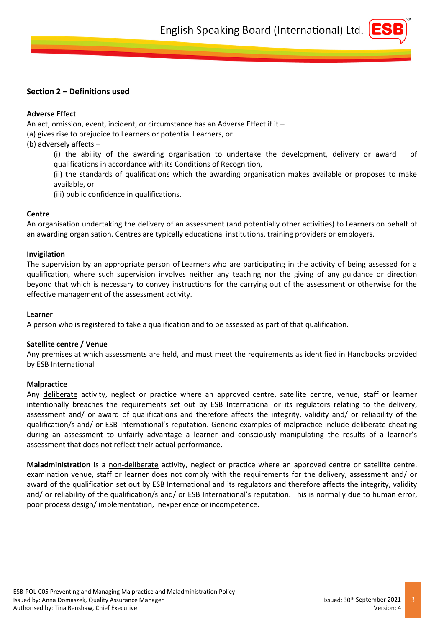# <span id="page-2-0"></span>**Section 2 – Definitions used**

## **Adverse Effect**

An act, omission, event, incident, or circumstance has an Adverse Effect if it –

(a) gives rise to prejudice to Learners or potential Learners, or

- (b) adversely affects
	- (i) the ability of the awarding organisation to undertake the development, delivery or award of qualifications in accordance with its Conditions of Recognition,

(ii) the standards of qualifications which the awarding organisation makes available or proposes to make available, or

(iii) public confidence in qualifications.

## **Centre**

An organisation undertaking the delivery of an assessment (and potentially other activities) to Learners on behalf of an awarding organisation. Centres are typically educational institutions, training providers or employers.

#### **Invigilation**

The supervision by an appropriate person of Learners who are participating in the activity of being assessed for a qualification, where such supervision involves neither any teaching nor the giving of any guidance or direction beyond that which is necessary to convey instructions for the carrying out of the assessment or otherwise for the effective management of the assessment activity.

#### **Learner**

A person who is registered to take a qualification and to be assessed as part of that qualification.

## **Satellite centre / Venue**

Any premises at which assessments are held, and must meet the requirements as identified in Handbooks provided by ESB International

## **Malpractice**

Any deliberate activity, neglect or practice where an approved centre, satellite centre, venue, staff or learner intentionally breaches the requirements set out by ESB International or its regulators relating to the delivery, assessment and/ or award of qualifications and therefore affects the integrity, validity and/ or reliability of the qualification/s and/ or ESB International's reputation. Generic examples of malpractice include deliberate cheating during an assessment to unfairly advantage a learner and consciously manipulating the results of a learner's assessment that does not reflect their actual performance.

**Maladministration** is a non-deliberate activity, neglect or practice where an approved centre or satellite centre, examination venue, staff or learner does not comply with the requirements for the delivery, assessment and/ or award of the qualification set out by ESB International and its regulators and therefore affects the integrity, validity and/ or reliability of the qualification/s and/ or ESB International's reputation. This is normally due to human error, poor process design/ implementation, inexperience or incompetence.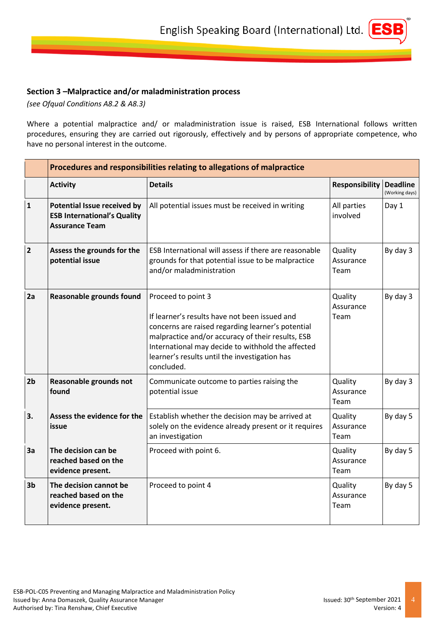# <span id="page-3-0"></span>**Section 3 –Malpractice and/or maladministration process**

*(see Ofqual Conditions A8.2 & A8.3)*

Where a potential malpractice and/ or maladministration issue is raised, ESB International follows written procedures, ensuring they are carried out rigorously, effectively and by persons of appropriate competence, who have no personal interest in the outcome.

|                | Procedures and responsibilities relating to allegations of malpractice                            |                                                                                                                                                                                                                                                                                                   |                              |                                   |
|----------------|---------------------------------------------------------------------------------------------------|---------------------------------------------------------------------------------------------------------------------------------------------------------------------------------------------------------------------------------------------------------------------------------------------------|------------------------------|-----------------------------------|
|                | <b>Activity</b>                                                                                   | <b>Details</b>                                                                                                                                                                                                                                                                                    | <b>Responsibility</b>        | <b>Deadline</b><br>(Working days) |
| $\mathbf{1}$   | <b>Potential Issue received by</b><br><b>ESB International's Quality</b><br><b>Assurance Team</b> | All potential issues must be received in writing                                                                                                                                                                                                                                                  | All parties<br>involved      | Day 1                             |
| $\overline{2}$ | Assess the grounds for the<br>potential issue                                                     | ESB International will assess if there are reasonable<br>grounds for that potential issue to be malpractice<br>and/or maladministration                                                                                                                                                           | Quality<br>Assurance<br>Team | By day 3                          |
| 2a             | Reasonable grounds found                                                                          | Proceed to point 3<br>If learner's results have not been issued and<br>concerns are raised regarding learner's potential<br>malpractice and/or accuracy of their results, ESB<br>International may decide to withhold the affected<br>learner's results until the investigation has<br>concluded. | Quality<br>Assurance<br>Team | By day 3                          |
| 2 <sub>b</sub> | Reasonable grounds not<br>found                                                                   | Communicate outcome to parties raising the<br>potential issue                                                                                                                                                                                                                                     | Quality<br>Assurance<br>Team | By day 3                          |
| 3.             | Assess the evidence for the<br>issue                                                              | Establish whether the decision may be arrived at<br>solely on the evidence already present or it requires<br>an investigation                                                                                                                                                                     | Quality<br>Assurance<br>Team | By day 5                          |
| 3a             | The decision can be<br>reached based on the<br>evidence present.                                  | Proceed with point 6.                                                                                                                                                                                                                                                                             | Quality<br>Assurance<br>Team | By day 5                          |
| 3b             | The decision cannot be<br>reached based on the<br>evidence present.                               | Proceed to point 4                                                                                                                                                                                                                                                                                | Quality<br>Assurance<br>Team | By day 5                          |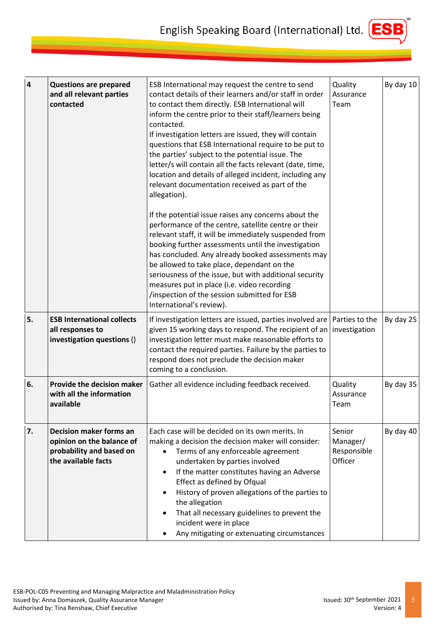

| $\overline{\mathbf{4}}$ | <b>Questions are prepared</b><br>and all relevant parties<br>contacted                                         | ESB International may request the centre to send<br>contact details of their learners and/or staff in order<br>to contact them directly. ESB International will<br>inform the centre prior to their staff/learners being<br>contacted.<br>If investigation letters are issued, they will contain<br>questions that ESB International require to be put to<br>the parties' subject to the potential issue. The<br>letter/s will contain all the facts relevant (date, time,<br>location and details of alleged incident, including any<br>relevant documentation received as part of the<br>allegation).<br>If the potential issue raises any concerns about the<br>performance of the centre, satellite centre or their<br>relevant staff, it will be immediately suspended from<br>booking further assessments until the investigation<br>has concluded. Any already booked assessments may<br>be allowed to take place, dependant on the<br>seriousness of the issue, but with additional security<br>measures put in place (i.e. video recording<br>/inspection of the session submitted for ESB<br>International's review). | Quality<br>Assurance<br>Team                 | By day 10 |
|-------------------------|----------------------------------------------------------------------------------------------------------------|---------------------------------------------------------------------------------------------------------------------------------------------------------------------------------------------------------------------------------------------------------------------------------------------------------------------------------------------------------------------------------------------------------------------------------------------------------------------------------------------------------------------------------------------------------------------------------------------------------------------------------------------------------------------------------------------------------------------------------------------------------------------------------------------------------------------------------------------------------------------------------------------------------------------------------------------------------------------------------------------------------------------------------------------------------------------------------------------------------------------------------|----------------------------------------------|-----------|
| 5.                      | <b>ESB International collects</b><br>all responses to<br>investigation questions ()                            | If investigation letters are issued, parties involved are   Parties to the<br>given 15 working days to respond. The recipient of an investigation<br>investigation letter must make reasonable efforts to<br>contact the required parties. Failure by the parties to<br>respond does not preclude the decision maker<br>coming to a conclusion.                                                                                                                                                                                                                                                                                                                                                                                                                                                                                                                                                                                                                                                                                                                                                                                 |                                              | By day 25 |
| 6.                      | <b>Provide the decision maker</b><br>with all the information<br>available                                     | Gather all evidence including feedback received.                                                                                                                                                                                                                                                                                                                                                                                                                                                                                                                                                                                                                                                                                                                                                                                                                                                                                                                                                                                                                                                                                | Quality<br>Assurance<br>Team                 | By day 35 |
| 7.                      | <b>Decision maker forms an</b><br>opinion on the balance of<br>probability and based on<br>the available facts | Each case will be decided on its own merits. In<br>making a decision the decision maker will consider:<br>Terms of any enforceable agreement<br>undertaken by parties involved<br>If the matter constitutes having an Adverse<br>$\bullet$<br>Effect as defined by Ofqual<br>History of proven allegations of the parties to<br>the allegation<br>That all necessary guidelines to prevent the<br>incident were in place<br>Any mitigating or extenuating circumstances                                                                                                                                                                                                                                                                                                                                                                                                                                                                                                                                                                                                                                                         | Senior<br>Manager/<br>Responsible<br>Officer | By day 40 |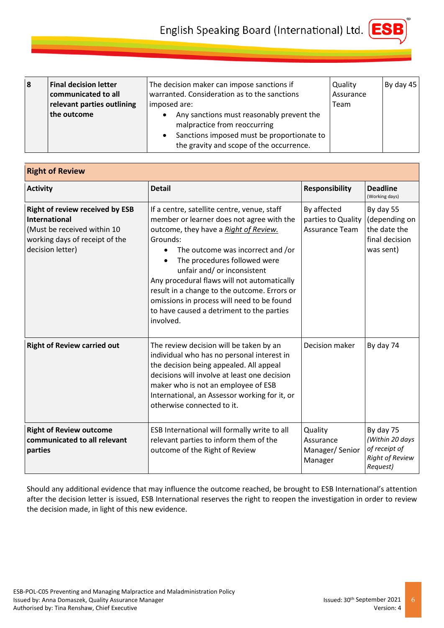

| $\boldsymbol{8}$ | <b>Final decision letter</b><br>communicated to all<br>relevant parties outlining<br>the outcome | The decision maker can impose sanctions if<br>warranted. Consideration as to the sanctions<br>imposed are:<br>Any sanctions must reasonably prevent the<br>malpractice from reoccurring<br>Sanctions imposed must be proportionate to<br>$\bullet$<br>the gravity and scope of the occurrence. | Quality<br>Assurance<br>Team | By day 45 |
|------------------|--------------------------------------------------------------------------------------------------|------------------------------------------------------------------------------------------------------------------------------------------------------------------------------------------------------------------------------------------------------------------------------------------------|------------------------------|-----------|
|------------------|--------------------------------------------------------------------------------------------------|------------------------------------------------------------------------------------------------------------------------------------------------------------------------------------------------------------------------------------------------------------------------------------------------|------------------------------|-----------|

| <b>Right of Review</b>                                                                                                                              |                                                                                                                                                                                                                                                                                                                                                                                                                                                          |                                                            |                                                                                     |  |
|-----------------------------------------------------------------------------------------------------------------------------------------------------|----------------------------------------------------------------------------------------------------------------------------------------------------------------------------------------------------------------------------------------------------------------------------------------------------------------------------------------------------------------------------------------------------------------------------------------------------------|------------------------------------------------------------|-------------------------------------------------------------------------------------|--|
| <b>Activity</b>                                                                                                                                     | <b>Detail</b>                                                                                                                                                                                                                                                                                                                                                                                                                                            | <b>Responsibility</b>                                      | <b>Deadline</b><br>(Working days)                                                   |  |
| <b>Right of review received by ESB</b><br><b>International</b><br>(Must be received within 10<br>working days of receipt of the<br>decision letter) | If a centre, satellite centre, venue, staff<br>member or learner does not agree with the<br>outcome, they have a Right of Review.<br>Grounds:<br>The outcome was incorrect and /or<br>The procedures followed were<br>unfair and/ or inconsistent<br>Any procedural flaws will not automatically<br>result in a change to the outcome. Errors or<br>omissions in process will need to be found<br>to have caused a detriment to the parties<br>involved. | By affected<br>parties to Quality<br><b>Assurance Team</b> | By day 55<br>(depending on<br>the date the<br>final decision<br>was sent)           |  |
| <b>Right of Review carried out</b>                                                                                                                  | The review decision will be taken by an<br>individual who has no personal interest in<br>the decision being appealed. All appeal<br>decisions will involve at least one decision<br>maker who is not an employee of ESB<br>International, an Assessor working for it, or<br>otherwise connected to it.                                                                                                                                                   | Decision maker                                             | By day 74                                                                           |  |
| <b>Right of Review outcome</b><br>communicated to all relevant<br>parties                                                                           | ESB International will formally write to all<br>relevant parties to inform them of the<br>outcome of the Right of Review                                                                                                                                                                                                                                                                                                                                 | Quality<br>Assurance<br>Manager/Senior<br>Manager          | By day 75<br>(Within 20 days<br>of receipt of<br><b>Right of Review</b><br>Request) |  |

Should any additional evidence that may influence the outcome reached, be brought to ESB International's attention after the decision letter is issued, ESB International reserves the right to reopen the investigation in order to review the decision made, in light of this new evidence.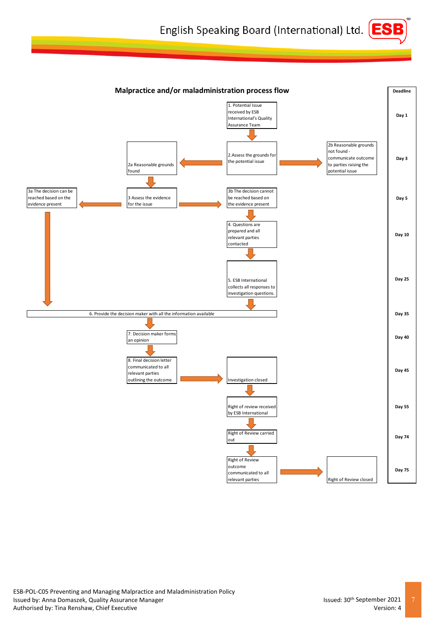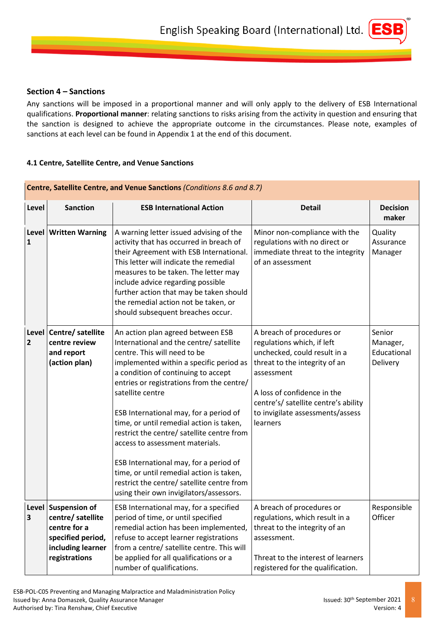

# <span id="page-7-0"></span>**Section 4 – Sanctions**

Any sanctions will be imposed in a proportional manner and will only apply to the delivery of ESB International qualifications. **Proportional manner**: relating sanctions to risks arising from the activity in question and ensuring that the sanction is designed to achieve the appropriate outcome in the circumstances. Please note, examples of sanctions at each level can be found in Appendix 1 at the end of this document.

# <span id="page-7-1"></span>**4.1 Centre, Satellite Centre, and Venue Sanctions**

| Centre, Satellite Centre, and Venue Sanctions (Conditions 8.6 and 8.7) |                                                                                                                     |                                                                                                                                                                                                                                                                                                                                                                                                                                                                                                                                                                                                                       |                                                                                                                                                                                                                                                               |                                               |  |
|------------------------------------------------------------------------|---------------------------------------------------------------------------------------------------------------------|-----------------------------------------------------------------------------------------------------------------------------------------------------------------------------------------------------------------------------------------------------------------------------------------------------------------------------------------------------------------------------------------------------------------------------------------------------------------------------------------------------------------------------------------------------------------------------------------------------------------------|---------------------------------------------------------------------------------------------------------------------------------------------------------------------------------------------------------------------------------------------------------------|-----------------------------------------------|--|
| Level                                                                  | <b>Sanction</b>                                                                                                     | <b>ESB International Action</b>                                                                                                                                                                                                                                                                                                                                                                                                                                                                                                                                                                                       | <b>Detail</b>                                                                                                                                                                                                                                                 | <b>Decision</b><br>maker                      |  |
| $\mathbf{1}$                                                           | Level   Written Warning                                                                                             | A warning letter issued advising of the<br>activity that has occurred in breach of<br>their Agreement with ESB International.<br>This letter will indicate the remedial<br>measures to be taken. The letter may<br>include advice regarding possible<br>further action that may be taken should<br>the remedial action not be taken, or<br>should subsequent breaches occur.                                                                                                                                                                                                                                          | Minor non-compliance with the<br>regulations with no direct or<br>immediate threat to the integrity<br>of an assessment                                                                                                                                       | Quality<br>Assurance<br>Manager               |  |
| $\overline{2}$                                                         | Level   Centre/ satellite<br>centre review<br>and report<br>(action plan)                                           | An action plan agreed between ESB<br>International and the centre/ satellite<br>centre. This will need to be<br>implemented within a specific period as<br>a condition of continuing to accept<br>entries or registrations from the centre/<br>satellite centre<br>ESB International may, for a period of<br>time, or until remedial action is taken,<br>restrict the centre/ satellite centre from<br>access to assessment materials.<br>ESB International may, for a period of<br>time, or until remedial action is taken,<br>restrict the centre/ satellite centre from<br>using their own invigilators/assessors. | A breach of procedures or<br>regulations which, if left<br>unchecked, could result in a<br>threat to the integrity of an<br>assessment<br>A loss of confidence in the<br>centre's/ satellite centre's ability<br>to invigilate assessments/assess<br>learners | Senior<br>Manager,<br>Educational<br>Delivery |  |
| 3                                                                      | Level Suspension of<br>centre/ satellite<br>centre for a<br>specified period,<br>including learner<br>registrations | ESB International may, for a specified<br>period of time, or until specified<br>remedial action has been implemented,<br>refuse to accept learner registrations<br>from a centre/ satellite centre. This will<br>be applied for all qualifications or a<br>number of qualifications.                                                                                                                                                                                                                                                                                                                                  | A breach of procedures or<br>regulations, which result in a<br>threat to the integrity of an<br>assessment.<br>Threat to the interest of learners<br>registered for the qualification.                                                                        | Responsible<br>Officer                        |  |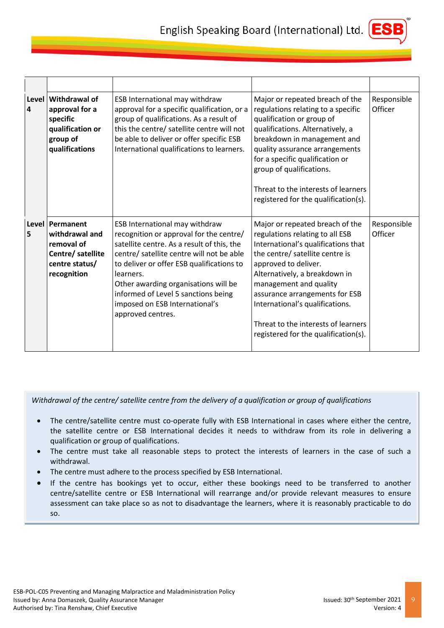

| Level<br>$\overline{\mathbf{4}}$ | Withdrawal of<br>approval for a<br>specific<br>qualification or<br>group of<br>qualifications         | ESB International may withdraw<br>approval for a specific qualification, or a<br>group of qualifications. As a result of<br>this the centre/ satellite centre will not<br>be able to deliver or offer specific ESB<br>International qualifications to learners.                                                                                                      | Major or repeated breach of the<br>regulations relating to a specific<br>qualification or group of<br>qualifications. Alternatively, a<br>breakdown in management and<br>quality assurance arrangements<br>for a specific qualification or<br>group of qualifications.<br>Threat to the interests of learners<br>registered for the qualification(s).                               | Responsible<br>Officer |
|----------------------------------|-------------------------------------------------------------------------------------------------------|----------------------------------------------------------------------------------------------------------------------------------------------------------------------------------------------------------------------------------------------------------------------------------------------------------------------------------------------------------------------|-------------------------------------------------------------------------------------------------------------------------------------------------------------------------------------------------------------------------------------------------------------------------------------------------------------------------------------------------------------------------------------|------------------------|
| 5                                | Level Permanent<br>withdrawal and<br>removal of<br>Centre/ satellite<br>centre status/<br>recognition | ESB International may withdraw<br>recognition or approval for the centre/<br>satellite centre. As a result of this, the<br>centre/ satellite centre will not be able<br>to deliver or offer ESB qualifications to<br>learners.<br>Other awarding organisations will be<br>informed of Level 5 sanctions being<br>imposed on ESB International's<br>approved centres. | Major or repeated breach of the<br>regulations relating to all ESB<br>International's qualifications that<br>the centre/ satellite centre is<br>approved to deliver.<br>Alternatively, a breakdown in<br>management and quality<br>assurance arrangements for ESB<br>International's qualifications.<br>Threat to the interests of learners<br>registered for the qualification(s). | Responsible<br>Officer |

*Withdrawal of the centre/ satellite centre from the delivery of a qualification or group of qualifications*

- The centre/satellite centre must co-operate fully with ESB International in cases where either the centre, the satellite centre or ESB International decides it needs to withdraw from its role in delivering a qualification or group of qualifications.
- The centre must take all reasonable steps to protect the interests of learners in the case of such a withdrawal.
- The centre must adhere to the process specified by ESB International.
- If the centre has bookings yet to occur, either these bookings need to be transferred to another centre/satellite centre or ESB International will rearrange and/or provide relevant measures to ensure assessment can take place so as not to disadvantage the learners, where it is reasonably practicable to do so.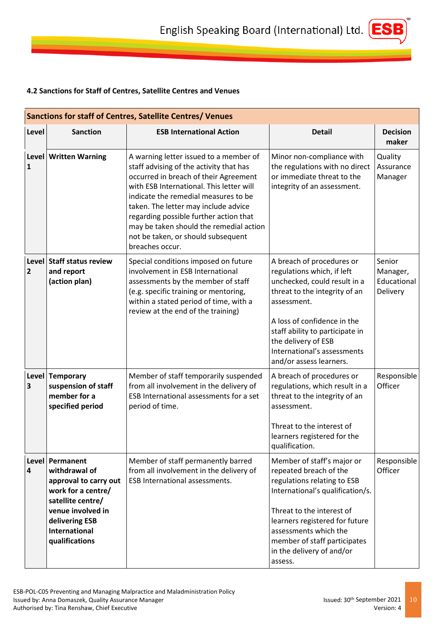# <span id="page-9-0"></span>**4.2 Sanctions for Staff of Centres, Satellite Centres and Venues**

| Sanctions for staff of Centres, Satellite Centres/ Venues |                                                                                                                                                                                         |                                                                                                                                                                                                                                                                                                                                                                                                      |                                                                                                                                                                                                                                                                                            |                                               |  |
|-----------------------------------------------------------|-----------------------------------------------------------------------------------------------------------------------------------------------------------------------------------------|------------------------------------------------------------------------------------------------------------------------------------------------------------------------------------------------------------------------------------------------------------------------------------------------------------------------------------------------------------------------------------------------------|--------------------------------------------------------------------------------------------------------------------------------------------------------------------------------------------------------------------------------------------------------------------------------------------|-----------------------------------------------|--|
| Level                                                     | <b>Sanction</b>                                                                                                                                                                         | <b>ESB International Action</b>                                                                                                                                                                                                                                                                                                                                                                      | <b>Detail</b>                                                                                                                                                                                                                                                                              | <b>Decision</b><br>maker                      |  |
| $\mathbf{1}$                                              | Level   Written Warning                                                                                                                                                                 | A warning letter issued to a member of<br>staff advising of the activity that has<br>occurred in breach of their Agreement<br>with ESB International. This letter will<br>indicate the remedial measures to be<br>taken. The letter may include advice<br>regarding possible further action that<br>may be taken should the remedial action<br>not be taken, or should subsequent<br>breaches occur. | Minor non-compliance with<br>the regulations with no direct<br>or immediate threat to the<br>integrity of an assessment.                                                                                                                                                                   | Quality<br>Assurance<br>Manager               |  |
| $\overline{2}$                                            | Level Staff status review<br>and report<br>(action plan)                                                                                                                                | Special conditions imposed on future<br>involvement in ESB International<br>assessments by the member of staff<br>(e.g. specific training or mentoring,<br>within a stated period of time, with a<br>review at the end of the training)                                                                                                                                                              | A breach of procedures or<br>regulations which, if left<br>unchecked, could result in a<br>threat to the integrity of an<br>assessment.<br>A loss of confidence in the<br>staff ability to participate in<br>the delivery of ESB<br>International's assessments<br>and/or assess learners. | Senior<br>Manager,<br>Educational<br>Delivery |  |
| 3                                                         | Level Temporary<br>suspension of staff<br>member for a<br>specified period                                                                                                              | Member of staff temporarily suspended<br>from all involvement in the delivery of<br>ESB International assessments for a set<br>period of time.                                                                                                                                                                                                                                                       | A breach of procedures or<br>regulations, which result in a<br>threat to the integrity of an<br>assessment.<br>Threat to the interest of<br>learners registered for the<br>qualification.                                                                                                  | Responsible<br>Officer                        |  |
| 4                                                         | Level   Permanent<br>withdrawal of<br>approval to carry out<br>work for a centre/<br>satellite centre/<br>venue involved in<br>delivering ESB<br><b>International</b><br>qualifications | Member of staff permanently barred<br>from all involvement in the delivery of<br><b>ESB International assessments.</b>                                                                                                                                                                                                                                                                               | Member of staff's major or<br>repeated breach of the<br>regulations relating to ESB<br>International's qualification/s.<br>Threat to the interest of<br>learners registered for future<br>assessments which the<br>member of staff participates<br>in the delivery of and/or<br>assess.    | Responsible<br>Officer                        |  |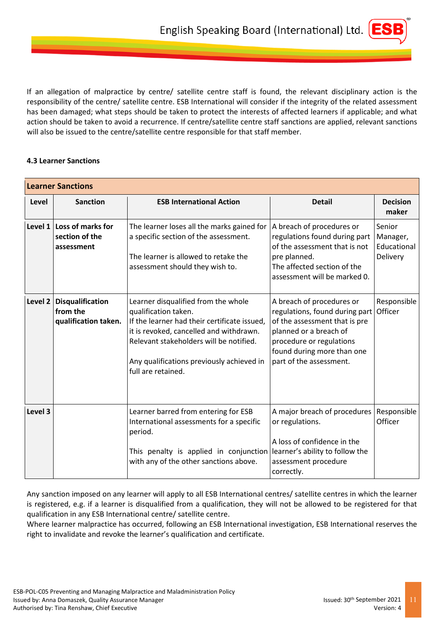If an allegation of malpractice by centre/ satellite centre staff is found, the relevant disciplinary action is the responsibility of the centre/ satellite centre. ESB International will consider if the integrity of the related assessment has been damaged; what steps should be taken to protect the interests of affected learners if applicable; and what action should be taken to avoid a recurrence. If centre/satellite centre staff sanctions are applied, relevant sanctions will also be issued to the centre/satellite centre responsible for that staff member.

## <span id="page-10-0"></span>**4.3 Learner Sanctions**

|            | <b>Learner Sanctions</b>                                    |                                                                                                                                                                                                                                                                      |                                                                                                                                                                                                             |                                               |  |  |
|------------|-------------------------------------------------------------|----------------------------------------------------------------------------------------------------------------------------------------------------------------------------------------------------------------------------------------------------------------------|-------------------------------------------------------------------------------------------------------------------------------------------------------------------------------------------------------------|-----------------------------------------------|--|--|
| Level      | <b>Sanction</b>                                             | <b>ESB International Action</b>                                                                                                                                                                                                                                      | <b>Detail</b>                                                                                                                                                                                               | <b>Decision</b><br>maker                      |  |  |
| Level $1 $ | Loss of marks for<br>section of the<br>assessment           | The learner loses all the marks gained for<br>a specific section of the assessment.<br>The learner is allowed to retake the<br>assessment should they wish to.                                                                                                       | A breach of procedures or<br>regulations found during part<br>of the assessment that is not<br>pre planned.<br>The affected section of the<br>assessment will be marked 0.                                  | Senior<br>Manager,<br>Educational<br>Delivery |  |  |
| Level 2    | <b>Disqualification</b><br>from the<br>qualification taken. | Learner disqualified from the whole<br>qualification taken.<br>If the learner had their certificate issued,<br>it is revoked, cancelled and withdrawn.<br>Relevant stakeholders will be notified.<br>Any qualifications previously achieved in<br>full are retained. | A breach of procedures or<br>regulations, found during part<br>of the assessment that is pre<br>planned or a breach of<br>procedure or regulations<br>found during more than one<br>part of the assessment. | Responsible<br>Officer                        |  |  |
| Level 3    |                                                             | Learner barred from entering for ESB<br>International assessments for a specific<br>period.<br>This penalty is applied in conjunction<br>with any of the other sanctions above.                                                                                      | A major breach of procedures<br>or regulations.<br>A loss of confidence in the<br>learner's ability to follow the<br>assessment procedure<br>correctly.                                                     | Responsible<br>Officer                        |  |  |

Any sanction imposed on any learner will apply to all ESB International centres/ satellite centres in which the learner is registered, e.g. if a learner is disqualified from a qualification, they will not be allowed to be registered for that qualification in any ESB International centre/ satellite centre.

<span id="page-10-1"></span>Where learner malpractice has occurred, following an ESB International investigation, ESB International reserves the right to invalidate and revoke the learner's qualification and certificate.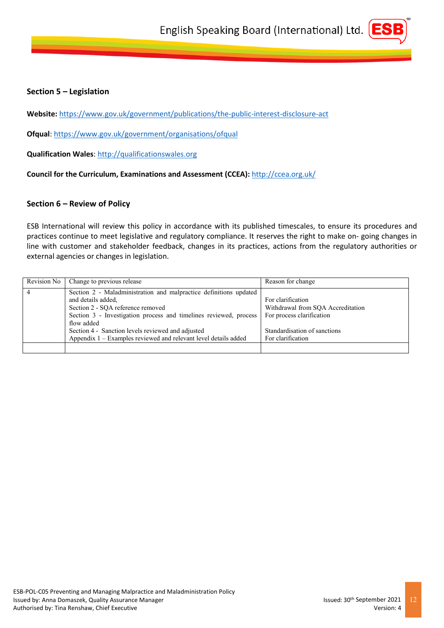# **Section 5 – Legislation**

**Website:** <https://www.gov.uk/government/publications/the-public-interest-disclosure-act>

**Ofqual**:<https://www.gov.uk/government/organisations/ofqual>

**Qualification Wales**: [http://qualificationswales.org](http://qualificationswales.org/)

**Council for the Curriculum, Examinations and Assessment (CCEA):** <http://ccea.org.uk/>

## <span id="page-11-0"></span>**Section 6 – Review of Policy**

ESB International will review this policy in accordance with its published timescales, to ensure its procedures and practices continue to meet legislative and regulatory compliance. It reserves the right to make on- going changes in line with customer and stakeholder feedback, changes in its practices, actions from the regulatory authorities or external agencies or changes in legislation.

| Revision No    | Change to previous release                                                                                                                                                                                                                                                                                                                | Reason for change                                                                                                                        |
|----------------|-------------------------------------------------------------------------------------------------------------------------------------------------------------------------------------------------------------------------------------------------------------------------------------------------------------------------------------------|------------------------------------------------------------------------------------------------------------------------------------------|
| $\overline{4}$ | Section 2 - Maladministration and malpractice definitions updated<br>and details added,<br>Section 2 - SQA reference removed<br>Section 3 - Investigation process and timelines reviewed, process<br>flow added<br>Section 4 - Sanction levels reviewed and adjusted<br>Appendix $1 -$ Examples reviewed and relevant level details added | For clarification<br>Withdrawal from SOA Accreditation<br>For process clarification<br>Standardisation of sanctions<br>For clarification |
|                |                                                                                                                                                                                                                                                                                                                                           |                                                                                                                                          |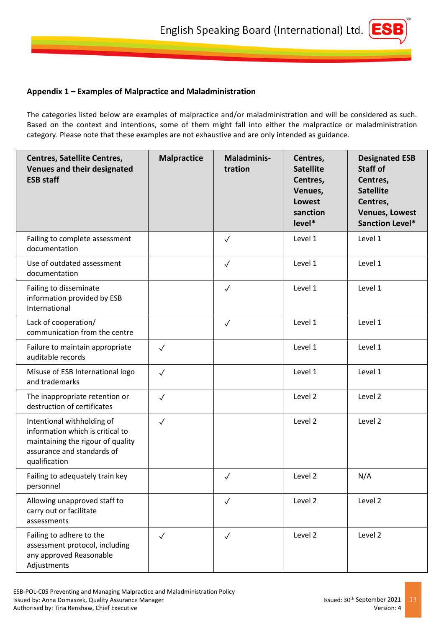# <span id="page-12-0"></span>**Appendix 1 – Examples of Malpractice and Maladministration**

The categories listed below are examples of malpractice and/or maladministration and will be considered as such. Based on the context and intentions, some of them might fall into either the malpractice or maladministration category. Please note that these examples are not exhaustive and are only intended as guidance.

| <b>Centres, Satellite Centres,</b><br>Venues and their designated<br><b>ESB staff</b>                                                              | <b>Malpractice</b> | <b>Maladminis-</b><br>tration | Centres,<br><b>Satellite</b><br>Centres,<br>Venues,<br>Lowest<br>sanction<br>level* | <b>Designated ESB</b><br>Staff of<br>Centres,<br><b>Satellite</b><br>Centres,<br><b>Venues, Lowest</b><br><b>Sanction Level*</b> |
|----------------------------------------------------------------------------------------------------------------------------------------------------|--------------------|-------------------------------|-------------------------------------------------------------------------------------|----------------------------------------------------------------------------------------------------------------------------------|
| Failing to complete assessment<br>documentation                                                                                                    |                    | $\checkmark$                  | Level 1                                                                             | Level 1                                                                                                                          |
| Use of outdated assessment<br>documentation                                                                                                        |                    | $\checkmark$                  | Level 1                                                                             | Level 1                                                                                                                          |
| Failing to disseminate<br>information provided by ESB<br>International                                                                             |                    | $\checkmark$                  | Level 1                                                                             | Level 1                                                                                                                          |
| Lack of cooperation/<br>communication from the centre                                                                                              |                    | $\checkmark$                  | Level 1                                                                             | Level 1                                                                                                                          |
| Failure to maintain appropriate<br>auditable records                                                                                               | $\checkmark$       |                               | Level 1                                                                             | Level 1                                                                                                                          |
| Misuse of ESB International logo<br>and trademarks                                                                                                 | $\checkmark$       |                               | Level 1                                                                             | Level 1                                                                                                                          |
| The inappropriate retention or<br>destruction of certificates                                                                                      | $\checkmark$       |                               | Level 2                                                                             | Level 2                                                                                                                          |
| Intentional withholding of<br>information which is critical to<br>maintaining the rigour of quality<br>assurance and standards of<br>qualification | $\checkmark$       |                               | Level 2                                                                             | Level 2                                                                                                                          |
| Failing to adequately train key<br>personnel                                                                                                       |                    | $\checkmark$                  | Level 2                                                                             | N/A                                                                                                                              |
| Allowing unapproved staff to<br>carry out or facilitate<br>assessments                                                                             |                    | $\sqrt{}$                     | Level 2                                                                             | Level 2                                                                                                                          |
| Failing to adhere to the<br>assessment protocol, including<br>any approved Reasonable<br>Adjustments                                               | $\checkmark$       | $\sqrt{}$                     | Level 2                                                                             | Level 2                                                                                                                          |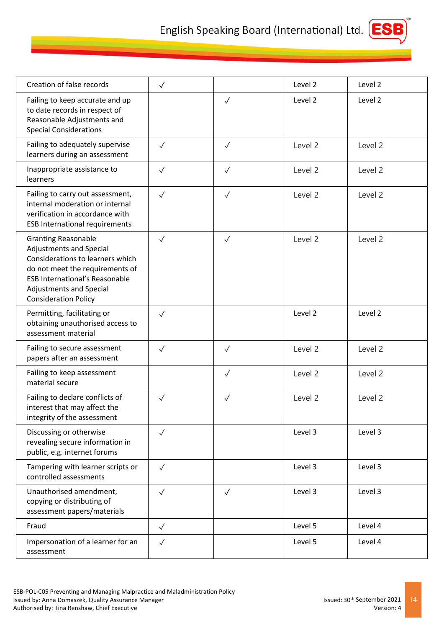

| Creation of false records                                                                                                                                                                                                              | $\checkmark$ |              | Level 2 | Level 2 |
|----------------------------------------------------------------------------------------------------------------------------------------------------------------------------------------------------------------------------------------|--------------|--------------|---------|---------|
| Failing to keep accurate and up<br>to date records in respect of<br>Reasonable Adjustments and<br><b>Special Considerations</b>                                                                                                        |              | $\sqrt{}$    | Level 2 | Level 2 |
| Failing to adequately supervise<br>learners during an assessment                                                                                                                                                                       | $\checkmark$ | $\checkmark$ | Level 2 | Level 2 |
| Inappropriate assistance to<br>learners                                                                                                                                                                                                | $\checkmark$ | $\checkmark$ | Level 2 | Level 2 |
| Failing to carry out assessment,<br>internal moderation or internal<br>verification in accordance with<br><b>ESB International requirements</b>                                                                                        | $\checkmark$ | $\checkmark$ | Level 2 | Level 2 |
| <b>Granting Reasonable</b><br>Adjustments and Special<br>Considerations to learners which<br>do not meet the requirements of<br><b>ESB International's Reasonable</b><br><b>Adjustments and Special</b><br><b>Consideration Policy</b> | $\checkmark$ | $\checkmark$ | Level 2 | Level 2 |
| Permitting, facilitating or<br>obtaining unauthorised access to<br>assessment material                                                                                                                                                 | $\checkmark$ |              | Level 2 | Level 2 |
| Failing to secure assessment<br>papers after an assessment                                                                                                                                                                             | $\checkmark$ | $\checkmark$ | Level 2 | Level 2 |
| Failing to keep assessment<br>material secure                                                                                                                                                                                          |              | $\checkmark$ | Level 2 | Level 2 |
| Failing to declare conflicts of<br>interest that may affect the<br>integrity of the assessment                                                                                                                                         | $\checkmark$ | $\checkmark$ | Level 2 | Level 2 |
| Discussing or otherwise<br>revealing secure information in<br>public, e.g. internet forums                                                                                                                                             | $\checkmark$ |              | Level 3 | Level 3 |
| Tampering with learner scripts or<br>controlled assessments                                                                                                                                                                            | $\checkmark$ |              | Level 3 | Level 3 |
| Unauthorised amendment,<br>copying or distributing of<br>assessment papers/materials                                                                                                                                                   | $\checkmark$ | $\sqrt{}$    | Level 3 | Level 3 |
| Fraud                                                                                                                                                                                                                                  | $\sqrt{}$    |              | Level 5 | Level 4 |
| Impersonation of a learner for an<br>assessment                                                                                                                                                                                        | $\checkmark$ |              | Level 5 | Level 4 |